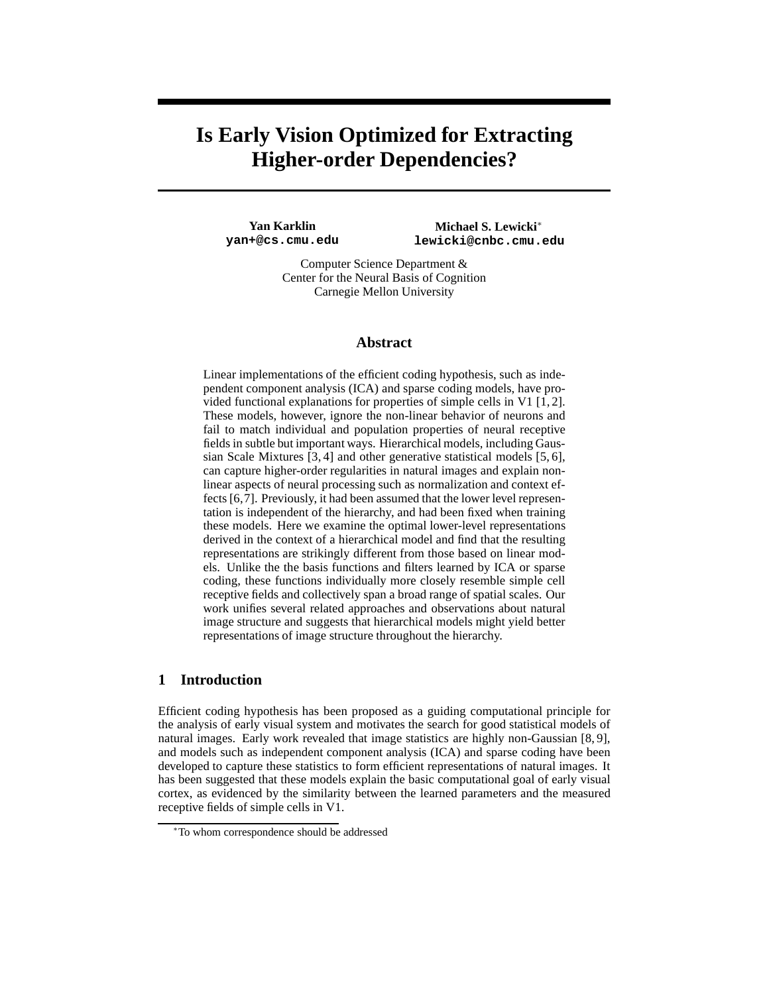# **Is Early Vision Optimized for Extracting Higher-order Dependencies?**

**Yan Karklin yan+@cs.cmu.edu**

**Michael S. Lewicki**<sup>∗</sup> **lewicki@cnbc.cmu.edu**

Computer Science Department & Center for the Neural Basis of Cognition Carnegie Mellon University

#### **Abstract**

Linear implementations of the efficient coding hypothesis, such as independent component analysis (ICA) and sparse coding models, have provided functional explanations for properties of simple cells in V1 [1, 2]. These models, however, ignore the non-linear behavior of neurons and fail to match individual and population properties of neural receptive fields in subtle but important ways. Hierarchical models, including Gaussian Scale Mixtures [3, 4] and other generative statistical models [5, 6], can capture higher-order regularities in natural images and explain nonlinear aspects of neural processing such as normalization and context effects [6,7]. Previously, it had been assumed that the lower level representation is independent of the hierarchy, and had been fixed when training these models. Here we examine the optimal lower-level representations derived in the context of a hierarchical model and find that the resulting representations are strikingly different from those based on linear models. Unlike the the basis functions and filters learned by ICA or sparse coding, these functions individually more closely resemble simple cell receptive fields and collectively span a broad range of spatial scales. Our work unifies several related approaches and observations about natural image structure and suggests that hierarchical models might yield better representations of image structure throughout the hierarchy.

## **1 Introduction**

Efficient coding hypothesis has been proposed as a guiding computational principle for the analysis of early visual system and motivates the search for good statistical models of natural images. Early work revealed that image statistics are highly non-Gaussian [8, 9], and models such as independent component analysis (ICA) and sparse coding have been developed to capture these statistics to form efficient representations of natural images. It has been suggested that these models explain the basic computational goal of early visual cortex, as evidenced by the similarity between the learned parameters and the measured receptive fields of simple cells in V1.

<sup>∗</sup>To whom correspondence should be addressed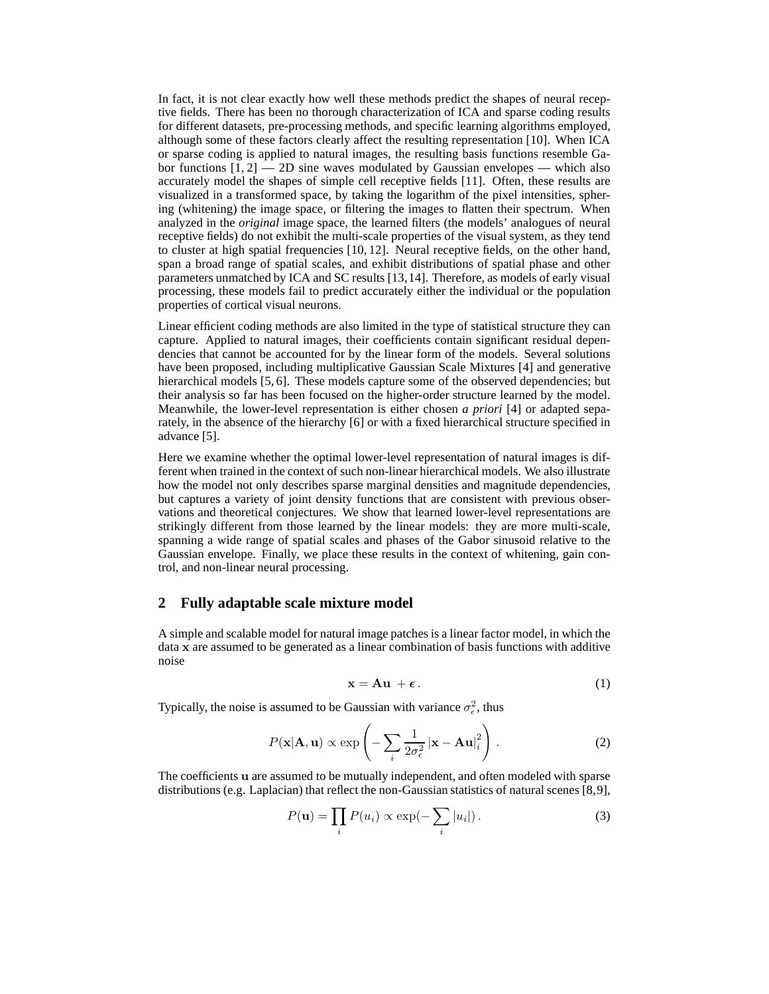In fact, it is not clear exactly how well these methods predict the shapes of neural receptive fields. There has been no thorough characterization of ICA and sparse coding results for different datasets, pre-processing methods, and specific learning algorithms employed, although some of these factors clearly affect the resulting representation [10]. When ICA or sparse coding is applied to natural images, the resulting basis functions resemble Gabor functions  $[1, 2]$  - 2D sine waves modulated by Gaussian envelopes - which also accurately model the shapes of simple cell receptive fields [11]. Often, these results are visualized in a transformed space, by taking the logarithm of the pixel intensities, sphering (whitening) the image space, or filtering the images to flatten their spectrum. When analyzed in the *original* image space, the learned filters (the models' analogues of neural receptive fields) do not exhibit the multi-scale properties of the visual system, as they tend to cluster at high spatial frequencies [10, 12]. Neural receptive fields, on the other hand, span a broad range of spatial scales, and exhibit distributions of spatial phase and other parameters unmatched by ICA and SC results [13,14]. Therefore, as models of early visual processing, these models fail to predict accurately either the individual or the population properties of cortical visual neurons.

Linear efficient coding methods are also limited in the type of statistical structure they can capture. Applied to natural images, their coefficients contain significant residual dependencies that cannot be accounted for by the linear form of the models. Several solutions have been proposed, including multiplicative Gaussian Scale Mixtures [4] and generative hierarchical models [5, 6]. These models capture some of the observed dependencies; but their analysis so far has been focused on the higher-order structure learned by the model. Meanwhile, the lower-level representation is either chosen *a priori* [4] or adapted separately, in the absence of the hierarchy [6] or with a fixed hierarchical structure specified in advance [5].

Here we examine whether the optimal lower-level representation of natural images is different when trained in the context of such non-linear hierarchical models. We also illustrate how the model not only describes sparse marginal densities and magnitude dependencies, but captures a variety of joint density functions that are consistent with previous observations and theoretical conjectures. We show that learned lower-level representations are strikingly different from those learned by the linear models: they are more multi-scale, spanning a wide range of spatial scales and phases of the Gabor sinusoid relative to the Gaussian envelope. Finally, we place these results in the context of whitening, gain control, and non-linear neural processing.

#### **2 Fully adaptable scale mixture model**

A simple and scalable model for natural image patches is a linear factor model, in which the data x are assumed to be generated as a linear combination of basis functions with additive noise

$$
\mathbf{x} = \mathbf{A}\mathbf{u} + \boldsymbol{\epsilon} \,. \tag{1}
$$

Typically, the noise is assumed to be Gaussian with variance  $\sigma_{\epsilon}^2$ , thus

$$
P(\mathbf{x}|\mathbf{A}, \mathbf{u}) \propto \exp\left(-\sum_{i} \frac{1}{2\sigma_{\epsilon}^2} |\mathbf{x} - \mathbf{A}\mathbf{u}|_i^2\right).
$$
 (2)

The coefficients u are assumed to be mutually independent, and often modeled with sparse distributions (e.g. Laplacian) that reflect the non-Gaussian statistics of natural scenes [8,9],

$$
P(\mathbf{u}) = \prod_{i} P(u_i) \propto \exp(-\sum_{i} |u_i|).
$$
 (3)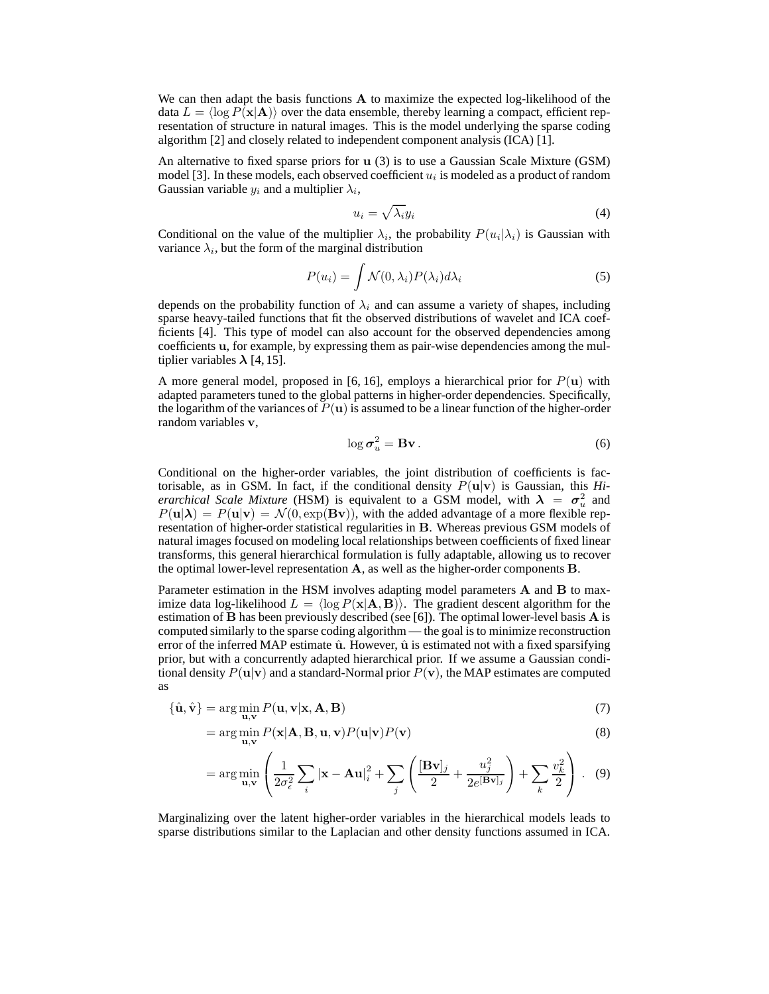We can then adapt the basis functions **A** to maximize the expected log-likelihood of the data  $L = \langle \log P(\mathbf{x}|\mathbf{A}) \rangle$  over the data ensemble, thereby learning a compact, efficient representation of structure in natural images. This is the model underlying the sparse coding algorithm [2] and closely related to independent component analysis (ICA) [1].

An alternative to fixed sparse priors for u (3) is to use a Gaussian Scale Mixture (GSM) model [3]. In these models, each observed coefficient  $u_i$  is modeled as a product of random Gaussian variable  $y_i$  and a multiplier  $\lambda_i$ ,

$$
u_i = \sqrt{\lambda_i} y_i \tag{4}
$$

Conditional on the value of the multiplier  $\lambda_i$ , the probability  $P(u_i|\lambda_i)$  is Gaussian with variance  $\lambda_i$ , but the form of the marginal distribution

$$
P(u_i) = \int \mathcal{N}(0, \lambda_i) P(\lambda_i) d\lambda_i
$$
\n(5)

depends on the probability function of  $\lambda_i$  and can assume a variety of shapes, including sparse heavy-tailed functions that fit the observed distributions of wavelet and ICA coefficients [4]. This type of model can also account for the observed dependencies among coefficients u, for example, by expressing them as pair-wise dependencies among the multiplier variables  $\lambda$  [4, 15].

A more general model, proposed in [6, 16], employs a hierarchical prior for  $P(u)$  with adapted parameters tuned to the global patterns in higher-order dependencies. Specifically, the logarithm of the variances of  $P(u)$  is assumed to be a linear function of the higher-order random variables v,

$$
\log \sigma_u^2 = \mathbf{B} \mathbf{v} \,. \tag{6}
$$

Conditional on the higher-order variables, the joint distribution of coefficients is factorisable, as in GSM. In fact, if the conditional density  $P(\mathbf{u}|\mathbf{v})$  is Gaussian, this *Hierarchical Scale Mixture* (HSM) is equivalent to a GSM model, with  $\lambda = \sigma_u^2$  and  $P(\mathbf{u}|\boldsymbol{\lambda}) = P(\mathbf{u}|\mathbf{v}) = \mathcal{N}(0, \exp(\mathbf{B}\mathbf{v}))$ , with the added advantage of a more flexible representation of higher-order statistical regularities in B. Whereas previous GSM models of natural images focused on modeling local relationships between coefficients of fixed linear transforms, this general hierarchical formulation is fully adaptable, allowing us to recover the optimal lower-level representation  $A$ , as well as the higher-order components  $B$ .

Parameter estimation in the HSM involves adapting model parameters A and B to maximize data log-likelihood  $L = \langle \log P(x|A, B) \rangle$ . The gradient descent algorithm for the estimation of  $\bf{B}$  has been previously described (see [6]). The optimal lower-level basis  $\bf{A}$  is computed similarly to the sparse coding algorithm — the goal is to minimize reconstruction error of the inferred MAP estimate  $\hat{u}$ . However,  $\hat{u}$  is estimated not with a fixed sparsifying prior, but with a concurrently adapted hierarchical prior. If we assume a Gaussian conditional density  $P(\mathbf{u}|\mathbf{v})$  and a standard-Normal prior  $P(\mathbf{v})$ , the MAP estimates are computed as

$$
\{\hat{\mathbf{u}}, \hat{\mathbf{v}}\} = \arg\min_{\mathbf{u}, \mathbf{v}} P(\mathbf{u}, \mathbf{v} | \mathbf{x}, \mathbf{A}, \mathbf{B})
$$
(7)

$$
= \arg\min_{\mathbf{u},\mathbf{v}} P(\mathbf{x}|\mathbf{A},\mathbf{B},\mathbf{u},\mathbf{v})P(\mathbf{u}|\mathbf{v})P(\mathbf{v})
$$
\n(8)

$$
= \arg\min_{\mathbf{u},\mathbf{v}} \left( \frac{1}{2\sigma_{\epsilon}^2} \sum_{i} |\mathbf{x} - \mathbf{A}\mathbf{u}|_i^2 + \sum_{j} \left( \frac{[\mathbf{B}\mathbf{v}]_j}{2} + \frac{u_j^2}{2e^{[\mathbf{B}\mathbf{v}]_j}} \right) + \sum_{k} \frac{v_k^2}{2} \right). \tag{9}
$$

Marginalizing over the latent higher-order variables in the hierarchical models leads to sparse distributions similar to the Laplacian and other density functions assumed in ICA.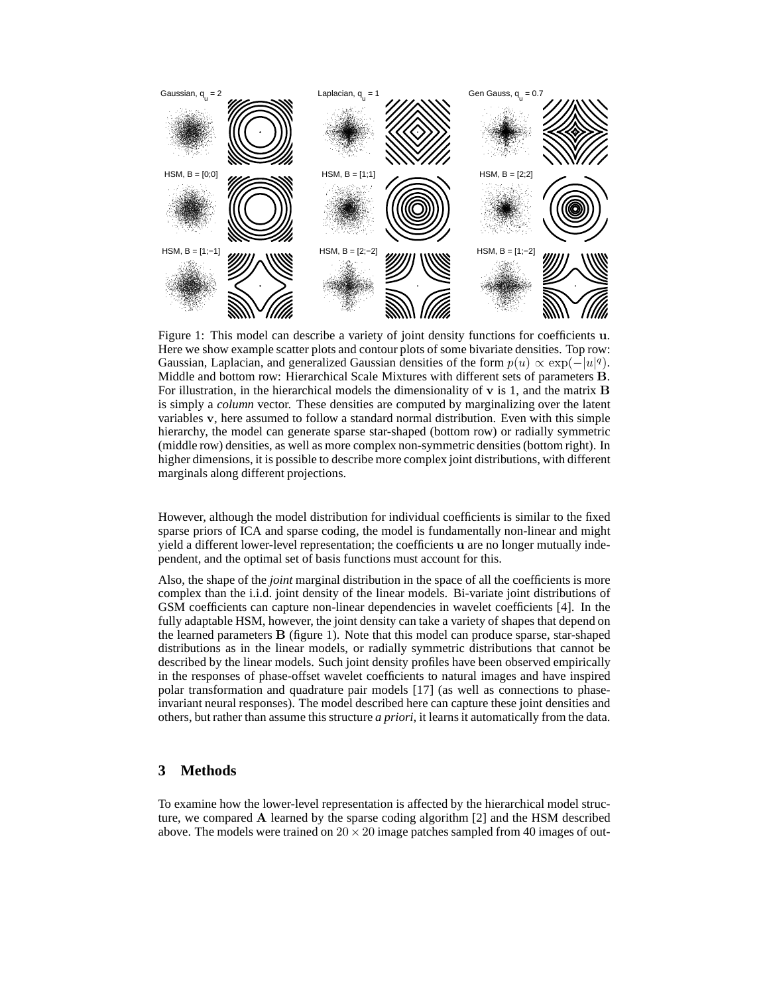

Figure 1: This model can describe a variety of joint density functions for coefficients u. Here we show example scatter plots and contour plots of some bivariate densities. Top row: Gaussian, Laplacian, and generalized Gaussian densities of the form  $p(u) \propto \exp(-|u|^q)$ . Middle and bottom row: Hierarchical Scale Mixtures with different sets of parameters B. For illustration, in the hierarchical models the dimensionality of  $\bf{v}$  is 1, and the matrix  $\bf{B}$ is simply a *column* vector. These densities are computed by marginalizing over the latent variables v, here assumed to follow a standard normal distribution. Even with this simple hierarchy, the model can generate sparse star-shaped (bottom row) or radially symmetric (middle row) densities, as well as more complex non-symmetric densities (bottom right). In higher dimensions, it is possible to describe more complex joint distributions, with different marginals along different projections.

However, although the model distribution for individual coefficients is similar to the fixed sparse priors of ICA and sparse coding, the model is fundamentally non-linear and might yield a different lower-level representation; the coefficients u are no longer mutually independent, and the optimal set of basis functions must account for this.

Also, the shape of the *joint* marginal distribution in the space of all the coefficients is more complex than the i.i.d. joint density of the linear models. Bi-variate joint distributions of GSM coefficients can capture non-linear dependencies in wavelet coefficients [4]. In the fully adaptable HSM, however, the joint density can take a variety of shapes that depend on the learned parameters B (figure 1). Note that this model can produce sparse, star-shaped distributions as in the linear models, or radially symmetric distributions that cannot be described by the linear models. Such joint density profiles have been observed empirically in the responses of phase-offset wavelet coefficients to natural images and have inspired polar transformation and quadrature pair models [17] (as well as connections to phaseinvariant neural responses). The model described here can capture these joint densities and others, but rather than assume this structure *a priori*, it learns it automatically from the data.

### **3 Methods**

To examine how the lower-level representation is affected by the hierarchical model structure, we compared A learned by the sparse coding algorithm [2] and the HSM described above. The models were trained on  $20 \times 20$  image patches sampled from 40 images of out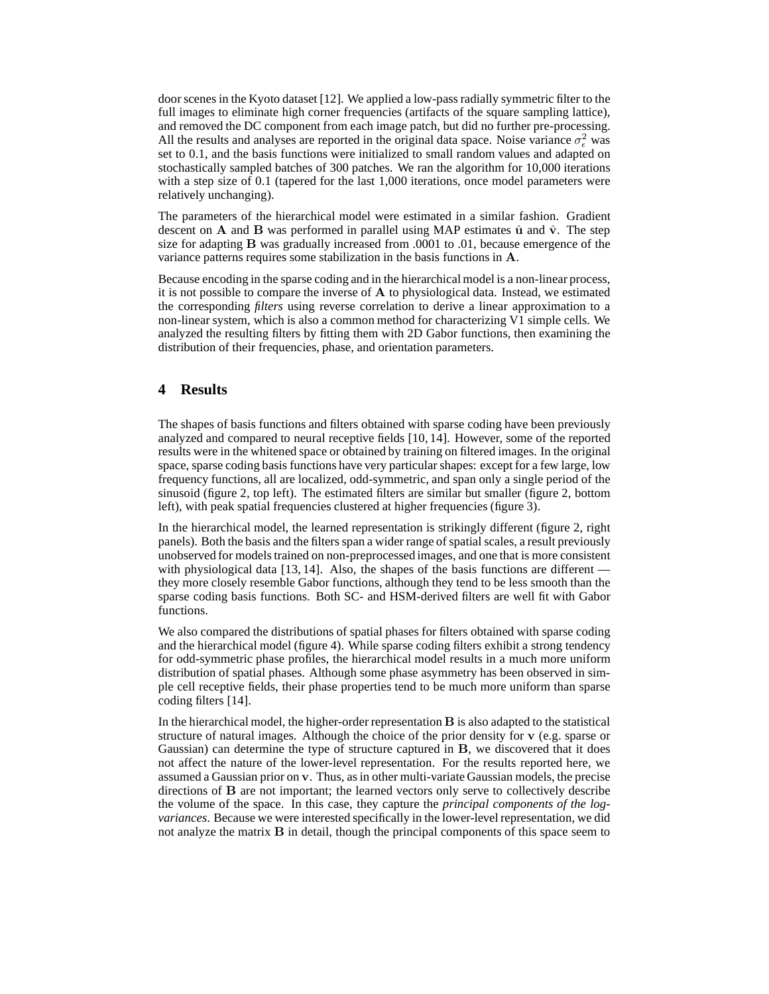door scenes in the Kyoto dataset [12]. We applied a low-pass radially symmetric filter to the full images to eliminate high corner frequencies (artifacts of the square sampling lattice), and removed the DC component from each image patch, but did no further pre-processing. All the results and analyses are reported in the original data space. Noise variance  $\sigma_{\epsilon}^2$  was set to 0.1, and the basis functions were initialized to small random values and adapted on stochastically sampled batches of 300 patches. We ran the algorithm for 10,000 iterations with a step size of 0.1 (tapered for the last 1,000 iterations, once model parameters were relatively unchanging).

The parameters of the hierarchical model were estimated in a similar fashion. Gradient descent on A and B was performed in parallel using MAP estimates  $\hat{u}$  and  $\hat{v}$ . The step size for adapting B was gradually increased from .0001 to .01, because emergence of the variance patterns requires some stabilization in the basis functions in A.

Because encoding in the sparse coding and in the hierarchical model is a non-linear process, it is not possible to compare the inverse of A to physiological data. Instead, we estimated the corresponding *filters* using reverse correlation to derive a linear approximation to a non-linear system, which is also a common method for characterizing V1 simple cells. We analyzed the resulting filters by fitting them with 2D Gabor functions, then examining the distribution of their frequencies, phase, and orientation parameters.

## **4 Results**

The shapes of basis functions and filters obtained with sparse coding have been previously analyzed and compared to neural receptive fields [10, 14]. However, some of the reported results were in the whitened space or obtained by training on filtered images. In the original space, sparse coding basis functions have very particular shapes: except for a few large, low frequency functions, all are localized, odd-symmetric, and span only a single period of the sinusoid (figure 2, top left). The estimated filters are similar but smaller (figure 2, bottom left), with peak spatial frequencies clustered at higher frequencies (figure 3).

In the hierarchical model, the learned representation is strikingly different (figure 2, right panels). Both the basis and the filters span a wider range of spatial scales, a result previously unobserved for models trained on non-preprocessed images, and one that is more consistent with physiological data  $[13, 14]$ . Also, the shapes of the basis functions are different  $\overline{\phantom{a}}$ they more closely resemble Gabor functions, although they tend to be less smooth than the sparse coding basis functions. Both SC- and HSM-derived filters are well fit with Gabor functions.

We also compared the distributions of spatial phases for filters obtained with sparse coding and the hierarchical model (figure 4). While sparse coding filters exhibit a strong tendency for odd-symmetric phase profiles, the hierarchical model results in a much more uniform distribution of spatial phases. Although some phase asymmetry has been observed in simple cell receptive fields, their phase properties tend to be much more uniform than sparse coding filters [14].

In the hierarchical model, the higher-order representation B is also adapted to the statistical structure of natural images. Although the choice of the prior density for v (e.g. sparse or Gaussian) can determine the type of structure captured in B, we discovered that it does not affect the nature of the lower-level representation. For the results reported here, we assumed a Gaussian prior on v. Thus, as in other multi-variate Gaussian models, the precise directions of B are not important; the learned vectors only serve to collectively describe the volume of the space. In this case, they capture the *principal components of the logvariances*. Because we were interested specifically in the lower-level representation, we did not analyze the matrix **B** in detail, though the principal components of this space seem to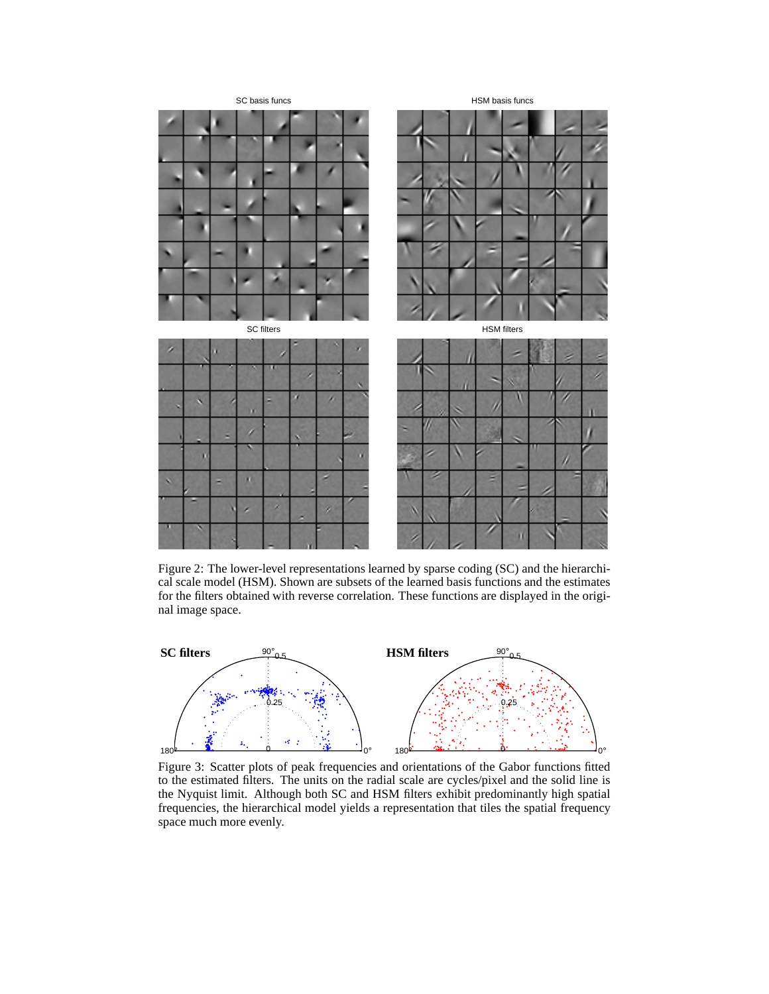

Figure 2: The lower-level representations learned by sparse coding (SC) and the hierarchical scale model (HSM). Shown are subsets of the learned basis functions and the estimates for the filters obtained with reverse correlation. These functions are displayed in the original image space.



Figure 3: Scatter plots of peak frequencies and orientations of the Gabor functions fitted to the estimated filters. The units on the radial scale are cycles/pixel and the solid line is the Nyquist limit. Although both SC and HSM filters exhibit predominantly high spatial frequencies, the hierarchical model yields a representation that tiles the spatial frequency space much more evenly.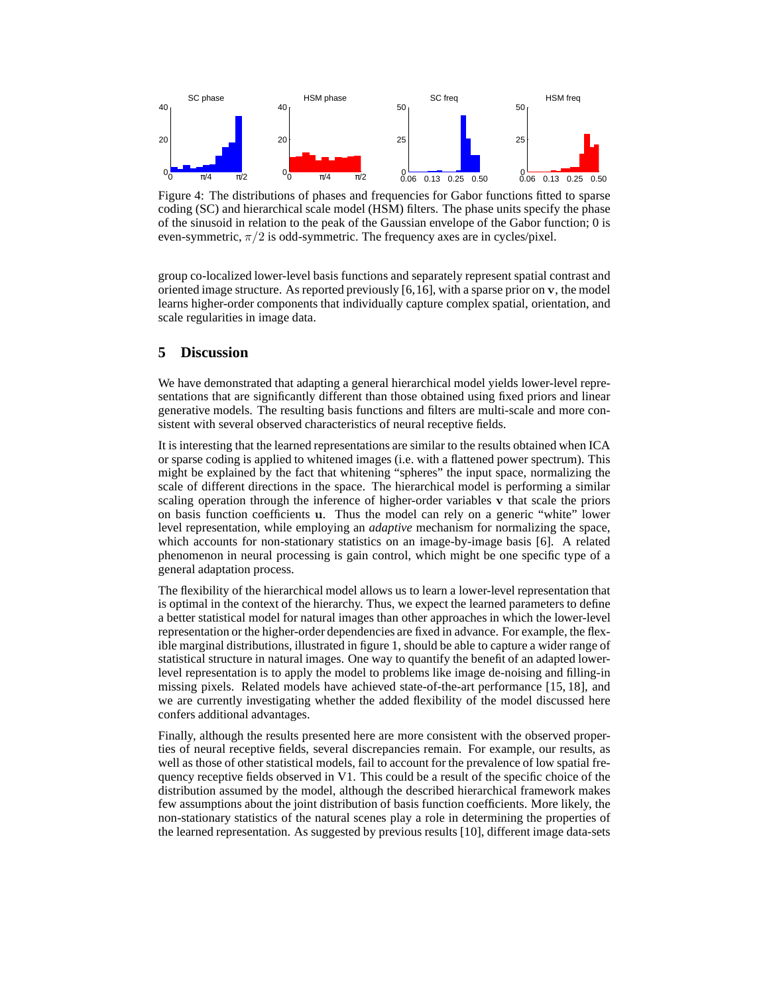

Figure 4: The distributions of phases and frequencies for Gabor functions fitted to sparse coding (SC) and hierarchical scale model (HSM) filters. The phase units specify the phase of the sinusoid in relation to the peak of the Gaussian envelope of the Gabor function; 0 is even-symmetric,  $\pi/2$  is odd-symmetric. The frequency axes are in cycles/pixel.

group co-localized lower-level basis functions and separately represent spatial contrast and oriented image structure. As reported previously [6,16], with a sparse prior on v, the model learns higher-order components that individually capture complex spatial, orientation, and scale regularities in image data.

## **5 Discussion**

We have demonstrated that adapting a general hierarchical model yields lower-level representations that are significantly different than those obtained using fixed priors and linear generative models. The resulting basis functions and filters are multi-scale and more consistent with several observed characteristics of neural receptive fields.

It is interesting that the learned representations are similar to the results obtained when ICA or sparse coding is applied to whitened images (i.e. with a flattened power spectrum). This might be explained by the fact that whitening "spheres" the input space, normalizing the scale of different directions in the space. The hierarchical model is performing a similar scaling operation through the inference of higher-order variables v that scale the priors on basis function coefficients u. Thus the model can rely on a generic "white" lower level representation, while employing an *adaptive* mechanism for normalizing the space, which accounts for non-stationary statistics on an image-by-image basis [6]. A related phenomenon in neural processing is gain control, which might be one specific type of a general adaptation process.

The flexibility of the hierarchical model allows us to learn a lower-level representation that is optimal in the context of the hierarchy. Thus, we expect the learned parameters to define a better statistical model for natural images than other approaches in which the lower-level representation or the higher-order dependencies are fixed in advance. For example, the flexible marginal distributions, illustrated in figure 1, should be able to capture a wider range of statistical structure in natural images. One way to quantify the benefit of an adapted lowerlevel representation is to apply the model to problems like image de-noising and filling-in missing pixels. Related models have achieved state-of-the-art performance [15, 18], and we are currently investigating whether the added flexibility of the model discussed here confers additional advantages.

Finally, although the results presented here are more consistent with the observed properties of neural receptive fields, several discrepancies remain. For example, our results, as well as those of other statistical models, fail to account for the prevalence of low spatial frequency receptive fields observed in V1. This could be a result of the specific choice of the distribution assumed by the model, although the described hierarchical framework makes few assumptions about the joint distribution of basis function coefficients. More likely, the non-stationary statistics of the natural scenes play a role in determining the properties of the learned representation. As suggested by previous results [10], different image data-sets